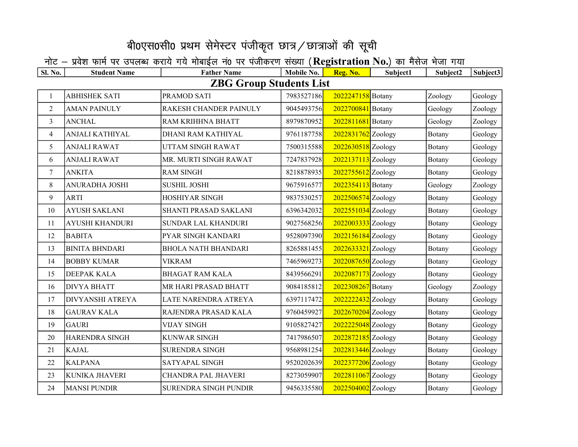## बी0एस0सी0 प्रथम सेमेस्टर पंजीकृत छात्र / छात्राओं की सूची

## नोट — प्रवेश फार्म पर उपलब्ध कराये गये मोबाईल नं0 पर पंजीकरण संख्या (Registration No.) का मैसेज भेजा गया

| <b>Sl. No.</b>                 | <b>Student Name</b>     | <b>Father Name</b>           | Mobile No. | Reg. No.             | Subject1 | Subject2 | Subject3 |  |  |  |  |  |
|--------------------------------|-------------------------|------------------------------|------------|----------------------|----------|----------|----------|--|--|--|--|--|
| <b>ZBG Group Students List</b> |                         |                              |            |                      |          |          |          |  |  |  |  |  |
| 1                              | <b>ABHISHEK SATI</b>    | PRAMOD SATI                  | 7983527186 | 2022247158 Botany    |          | Zoology  | Geology  |  |  |  |  |  |
| $\overline{2}$                 | <b>AMAN PAINULY</b>     | RAKESH CHANDER PAINULY       | 9045493756 | 2022700841 Botany    |          | Geology  | Zoology  |  |  |  |  |  |
| 3                              | <b>ANCHAL</b>           | RAM KRIHHNA BHATT            | 8979870952 | 2022811681 Botany    |          | Geology  | Zoology  |  |  |  |  |  |
| $\overline{\mathcal{A}}$       | ANJALI KATHIYAL         | DHANI RAM KATHIYAL           | 9761187758 | $2022831762$ Zoology |          | Botany   | Geology  |  |  |  |  |  |
| 5                              | <b>ANJALI RAWAT</b>     | UTTAM SINGH RAWAT            | 7500315588 | $2022630518$ Zoology |          | Botany   | Geology  |  |  |  |  |  |
| 6                              | <b>ANJALI RAWAT</b>     | MR. MURTI SINGH RAWAT        | 7247837928 | 2022137113 Zoology   |          | Botany   | Geology  |  |  |  |  |  |
| $\tau$                         | <b>ANKITA</b>           | <b>RAM SINGH</b>             | 8218878935 | 2022755612 Zoology   |          | Botany   | Geology  |  |  |  |  |  |
| $8\,$                          | ANURADHA JOSHI          | <b>SUSHIL JOSHI</b>          | 9675916577 | 2022354113 Botany    |          | Geology  | Zoology  |  |  |  |  |  |
| 9                              | <b>ARTI</b>             | <b>HOSHIYAR SINGH</b>        | 9837530257 | 2022506574 Zoology   |          | Botany   | Geology  |  |  |  |  |  |
| 10                             | <b>AYUSH SAKLANI</b>    | SHANTI PRASAD SAKLANI        | 6396342032 | 2022551034 Zoology   |          | Botany   | Geology  |  |  |  |  |  |
| 11                             | <b>AYUSHI KHANDURI</b>  | SUNDAR LAL KHANDURI          | 9027568256 | 2022003333 Zoology   |          | Botany   | Geology  |  |  |  |  |  |
| 12                             | <b>BABITA</b>           | PYAR SINGH KANDARI           | 9528097390 | $2022156184$ Zoology |          | Botany   | Geology  |  |  |  |  |  |
| 13                             | <b>BINITA BHNDARI</b>   | <b>BHOLA NATH BHANDARI</b>   | 8265881455 | $2022633321$ Zoology |          | Botany   | Geology  |  |  |  |  |  |
| 14                             | <b>BOBBY KUMAR</b>      | <b>VIKRAM</b>                | 7465969273 | $2022087650$ Zoology |          | Botany   | Geology  |  |  |  |  |  |
| 15                             | DEEPAK KALA             | <b>BHAGAT RAM KALA</b>       | 8439566291 | $2022087173$ Zoology |          | Botany   | Geology  |  |  |  |  |  |
| 16                             | <b>DIVYA BHATT</b>      | MR HARI PRASAD BHATT         | 9084185812 | 2022308267 Botany    |          | Geology  | Zoology  |  |  |  |  |  |
| 17                             | <b>DIVYANSHI ATREYA</b> | LATE NARENDRA ATREYA         | 6397117472 | $2022222432$ Zoology |          | Botany   | Geology  |  |  |  |  |  |
| 18                             | <b>GAURAV KALA</b>      | RAJENDRA PRASAD KALA         | 9760459927 | 2022670204 Zoology   |          | Botany   | Geology  |  |  |  |  |  |
| 19                             | <b>GAURI</b>            | <b>VIJAY SINGH</b>           | 9105827427 | 2022225048 Zoology   |          | Botany   | Geology  |  |  |  |  |  |
| 20                             | HARENDRA SINGH          | <b>KUNWAR SINGH</b>          | 7417986507 | 2022872185 Zoology   |          | Botany   | Geology  |  |  |  |  |  |
| 21                             | <b>KAJAL</b>            | <b>SURENDRA SINGH</b>        | 9568981254 | $2022813446$ Zoology |          | Botany   | Geology  |  |  |  |  |  |
| 22                             | <b>KALPANA</b>          | SATYAPAL SINGH               | 9520202639 | 2022377206 Zoology   |          | Botany   | Geology  |  |  |  |  |  |
| 23                             | KUNIKA JHAVERI          | CHANDRA PAL JHAVERI          | 8273059907 | $2022811067$ Zoology |          | Botany   | Geology  |  |  |  |  |  |
| 24                             | <b>MANSI PUNDIR</b>     | <b>SURENDRA SINGH PUNDIR</b> | 9456335580 | $2022504002$ Zoology |          | Botany   | Geology  |  |  |  |  |  |